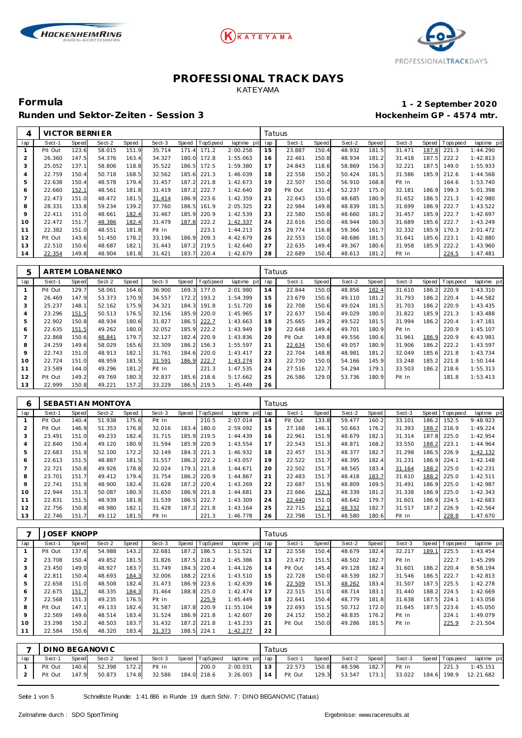





Runden und Sektor-Zeiten - Session 3 **Bester auch and Sektor-Zeiten - Session 3 Hockenheim GP** - 4574 mtr.

# **Formula 1 - 2 September 2020**

| 4              | VICTOR BERNIER |       |        |       |        |              |         |                |    | Tatuus  |       |        |       |        |       |                 |             |
|----------------|----------------|-------|--------|-------|--------|--------------|---------|----------------|----|---------|-------|--------|-------|--------|-------|-----------------|-------------|
| lap            | Sect-1         | Speed | Sect-2 | Speed | Sect-3 | <b>Speed</b> | opSpeed | laptime<br>pit | ap | Sect-1  | Speed | Sect-2 | Speed | Sect-3 |       | Speed Tops peed | laptime pit |
| 1              | Pit Out        | 123.6 | 58.015 | 151.9 | 35.714 | 171<br>. 4   | 171.2   | 2:00.258       | 15 | 23.887  | 150.4 | 48.932 | 181.5 | 31.471 | 187.8 | 221.3           | 1:44.290    |
| 2              | 26.360         | 147.5 | 54.376 | 163.4 | 34.327 | 180.0        | 72.8    | 1:55.063       | 16 | 22.461  | 150.8 | 48.934 | 181.2 | 31.418 | 187.5 | 222.2           | 1:42.813    |
| 3              | 25.052         | 137.1 | 58.806 | 118.8 | 35.522 | 186.5        | 172.5   | 1:59.380       | 17 | 24.843  | 118.6 | 58.869 | 156.3 | 32.221 | 187.5 | 149.0           | 1:55.933    |
| 4              | 22.759         | 150.4 | 50.718 | 168.5 | 32.562 | 185.6        | 221.3   | 1:46.039       | 18 | 22.558  | 150.2 | 50.424 | 181.5 | 31.586 | 185.9 | 212.6           | 1:44.568    |
| 5              | 22.638         | 150.4 | 48.578 | 179.4 | 31.457 | 187.2        | 221.8   | 1:42.673       | 19 | 22.507  | 150.0 | 56.910 | 168.8 | Pit In |       | 164.6           | 1:53.740    |
| 6              | 22.660         | 152.1 | 48.561 | 181.8 | 31.419 | 187.2        | 222.7   | 1:42.640       | 20 | Pit Out | 131.4 | 52.237 | 175.0 | 32.181 | 186.9 | 199.3           | 5:01.398    |
| $\overline{7}$ | 22.473         | 151.0 | 48.472 | 181.5 | 31.414 | 186.9        | 223.6   | 1:42.359       | 21 | 22.643  | 150.0 | 48.685 | 180.9 | 31.652 | 186.5 | 221.3           | 1:42.980    |
| 8              | 28.331         | 133.8 | 59.234 | 139.2 | 37.760 | 186.5        | 161.9   | 2:05.325       | 22 | 22.984  | 149.8 | 48.839 | 181.5 | 31.699 | 186.9 | 222.7           | 1:43.522    |
| 9              | 22.411         | 151.0 | 48.661 | 182.4 | 31.467 | 185.9        | 220.9   | 1:42.539       | 23 | 22.580  | 150.8 | 48.660 | 181.2 | 31.457 | 185.9 | 222.7           | 1:42.697    |
| 10             | 22.472         | 151.7 | 48.386 | 182.4 | 31.479 | 187.8        | 222.2   | 1:42.337       | 24 | 22.616  | 150.0 | 48.944 | 180.3 | 31.689 | 185.6 | 222.7           | 1:43.249    |
| 11             | 22.382         | 151.0 | 48.551 | 181.8 | Pit In |              | 223.1   | 1:44.213       | 25 | 29.774  | 116.8 | 59.366 | 161.7 | 32.332 | 185.9 | 170.3           | 2:01.472    |
| 12             | Pit Out        | 143.6 | 51.450 | 178.2 | 33.196 | 186.9        | 209.3   | 4:42.679       | 26 | 22.553  | 150.0 | 48.686 | 181.5 | 31.641 | 185.6 | 223.1           | 1:42.880    |
| 13             | 22.510         | 150.6 | 48.687 | 182.1 | 31.443 | 187.2        | 219.5   | 1:42.640       | 27 | 22.635  | 149.4 | 49.367 | 180.6 | 31.958 | 185.9 | 222.2           | 1:43.960    |
| 14             | 22.354         | 149.8 | 48.904 | 181.8 | 31.421 | 183.7        | 220.4   | 1:42.679       | 28 | 22.689  | 150.4 | 48.613 | 181.2 | Pit In |       | 224.5           | 1:47.481    |

| 5   |         |       | ARTEM LOBANENKO |       |        |       |                 |             |     | Tatuus  |       |        |       |        |              |            |             |
|-----|---------|-------|-----------------|-------|--------|-------|-----------------|-------------|-----|---------|-------|--------|-------|--------|--------------|------------|-------------|
| lap | Sect-1  | Speed | Sect-2          | Speed | Sect-3 | Speed | <b>TopSpeed</b> | laptime pit | lap | Sect-1  | Speed | Sect-2 | Speed | Sect-3 | <b>Speed</b> | Tops pee d | laptime pit |
|     | Pit Out | 129.7 | 58.061          | 164.6 | 36.900 | 169.3 | 177.0           | 2:01.980    | 14  | 22.844  | 150.0 | 48.856 | 182.4 | 31.610 | 186.2        | 220.9      | 1:43.310    |
|     | 26.469  | 147.9 | 53.373          | 170.9 | 34.557 | 172.2 | 193.2           | 1:54.399    | 15  | 23.679  | 150.6 | 49.110 | 181.2 | 31.793 | 186.2        | 220.4      | 1:44.582    |
| 3   | 25.237  | 148.1 | 52.162          | 175.9 | 34.321 | 184.3 | 191.8           | 1:51.720    | 16  | 22.708  | 150.6 | 49.024 | 181.5 | 31.703 | 186.2        | 220.9      | 1:43.435    |
|     | 23.296  | 151.5 | 50.513          | 176.5 | 32.156 | 185.9 | 220.0           | 1:45.965    | 17  | 22.637  | 150.4 | 49.029 | 180.0 | 31.822 | 185.9        | 221.3      | 1:43.488    |
| 5   | 22.902  | 150.8 | 48.934          | 180.6 | 31.827 | 186.5 | 222.7           | 1:43.663    | 18  | 25.665  | 149.2 | 49.522 | 181.5 | 31.994 | 186.2        | 220.4      | 1:47.181    |
| 6   | 22.635  | 151.5 | 49.262          | 180.0 | 32.052 | 185.9 | 222.2           | 1:43.949    | 19  | 22.648  | 149.4 | 49.701 | 180.9 | Pit In |              | 220.9      | 1:45.107    |
|     | 22.868  | 150.6 | 48.841          | 179.7 | 32.127 | 182.4 | 220.9           | 1:43.836    | 20  | Pit Out | 149.8 | 49.556 | 180.6 | 31.961 | 186.9        | 220.9      | 6:43.981    |
| 8   | 24.259  | 149.6 | 58.029          | 165.6 | 33.309 | 186.2 | 156.3           | 1:55.597    | 21  | 22.634  | 150.6 | 49.057 | 180.9 | 31.906 | 186.2        | 222.2      | 1:43.597    |
| 9   | 22.743  | 151.0 | 48.913          | 182.1 | 31.761 | 184.6 | 220.0           | 1:43.417    | 22  | 22.704  | 148.8 | 48.981 | 181.2 | 32.049 | 185.6        | 221.8      | 1:43.734    |
| 10  | 22.724  | 151.0 | 48.959          | 181.5 | 31.591 | 186.9 | 222.7           | 1:43.274    | 23  | 22.730  | 150.0 | 54.166 | 145.9 | 33.248 | 185.2        | 221.8      | 1:50.144    |
| 11  | 23.589  | 144.0 | 49.296          | 181.2 | Pit In |       | 221.3           | 1:47.535    | 24  | 27.516  | 122.7 | 54.294 | 179.1 | 33.503 | 186.2        | 218.6      | 1:55.313    |
| 12  | Pit Out | 149.2 | 49.769          | 180.3 | 32.837 | 185.6 | 218.6           | 5:17.662    | 25  | 26.586  | 129.0 | 53.736 | 180.9 | Pit In |              | 181.8      | 1:53.413    |
| 13  | 22.999  | 150.8 | 49.221          | 157.2 | 33.229 | 186.5 | 219.5           | 1:45.449    | 26  |         |       |        |       |        |              |            |             |

| 6              |         |       | SEBASTI AN MONTOYA |       |        |       |          |             |     | Tatuus  |       |        |       |        |       |                 |             |
|----------------|---------|-------|--------------------|-------|--------|-------|----------|-------------|-----|---------|-------|--------|-------|--------|-------|-----------------|-------------|
| lap            | Sect-1  | Speed | Sect-2             | Speed | Sect-3 | Speed | TopSpeed | laptime pit | lap | Sect-1  | Speed | Sect-2 | Speed | Sect-3 |       | Speed Tops peed | laptime pit |
|                | Pit Out | 140.4 | 51.938             | 175.6 | Pit In |       | 210.5    | 2:07.014    | 14  | Pit Out | 133.8 | 59.477 | 160.2 | 33.101 | 186.2 | 152.5           | 9:48.923    |
| $\overline{2}$ | Pit Out | 146.9 | 51.353             | 176.8 | 32.016 | 183.4 | 180.0    | 2:59.092    | 15  | 27.168  | 146.1 | 50.663 | 176.2 | 31.393 | 188.2 | 216.9           | 1:49.224    |
| 3              | 23.491  | 151.0 | 49.233             | 182.4 | 31.715 | 185.9 | 219.5    | 1:44.439    | 16  | 22.961  | 151.9 | 48.679 | 182.1 | 31.314 | 187.8 | 225.0           | 1:42.954    |
| 4              | 22.840  | 150.4 | 49.120             | 180.9 | 31.594 | 185.9 | 220.9    | 1:43.554    | 17  | 22.543  | 151.3 | 48.871 | 168.2 | 33.550 | 188.2 | 223.1           | 1:44.964    |
| 5              | 22.683  | 151.9 | 52.100             | 172.2 | 32.149 | 184.3 | 221.3    | 1:46.932    | 18  | 22.457  | 151.3 | 48.377 | 182.7 | 31.298 | 186.5 | 226.9           | 1:42.132    |
| 6              | 22.613  | 151.5 | 48.887             | 181.5 | 31.557 | 186.2 | 222.2    | 1:43.057    | 19  | 22.522  | 151.7 | 48.395 | 182.4 | 31.231 | 186.9 | 224.1           | 1:42.148    |
|                | 22.721  | 150.8 | 49.926             | 178.8 | 32.024 | 179.1 | 221.8    | 1:44.671    | 20  | 22.502  | 151.7 | 48.565 | 183.4 | 31.164 | 188.2 | 225.0           | 1:42.231    |
| 8              | 23.701  | 151.7 | 49.412             | 179.4 | 31.754 | 186.2 | 220.9    | 1:44.867    | 21  | 22.483  | 151.7 | 48.418 | 183.7 | 31.610 | 188.2 | 225.0           | 1:42.511    |
| $\circ$        | 22.741  | 151.9 | 48.900             | 182.4 | 31.628 | 187.2 | 220.4    | 1:43.269    | 22  | 22.687  | 151.9 | 48.809 | 169.5 | 31.491 | 186.9 | 225.0           | 1:42.987    |
| 10             | 22.944  | 151.3 | 50.087             | 180.3 | 31.650 | 186.9 | 221.8    | 1:44.681    | 23  | 22.666  | 152.1 | 48.339 | 181.2 | 31.338 | 186.9 | 225.0           | 1:42.343    |
| 11             | 22.831  | 151.5 | 48.939             | 181.8 | 31.539 | 186.5 | 222.7    | 1:43.309    | 24  | 22.440  | 151.0 | 48.642 | 179.7 | 31.601 | 186.9 | 224.5           | 1:42.683    |
| 12             | 22.756  | 150.8 | 48.980             | 182.1 | 31.428 | 187.2 | 221.8    | 1:43.164    | 25  | 22.715  | 152.1 | 48.332 | 182.7 | 31.517 | 187.2 | 226.9           | 1:42.564    |
| 13             | 22.746  | 151.7 | 49.112             | 181.5 | Pit In |       | 221.3    | 1:46.778    | 26  | 22.798  | 151.7 | 48.580 | 180.6 | Pit In |       | 228.8           | 1:47.670    |

|     | <b>JOSEF KNOPP</b> |              |        |       |        |       |                 |             | Tatuus |         |       |        |       |        |       |                 |             |
|-----|--------------------|--------------|--------|-------|--------|-------|-----------------|-------------|--------|---------|-------|--------|-------|--------|-------|-----------------|-------------|
| lap | Sect-1             | <b>Speed</b> | Sect-2 | Speed | Sect-3 | Speed | <b>TopSpeed</b> | laptime pit | lap    | Sect-1  | Speed | Sect-2 | Speed | Sect-3 |       | Speed Tops peed | laptime pit |
|     | Pit Out            | 137.6        | 54.988 | 143.2 | 32.681 | 187.2 | 186.5           | 1:51.521    | 12     | 22.558  | 150.4 | 48.679 | 182.4 | 32.217 | 189.  | 225.5           | 1:43.454    |
|     | 23.708             | 150.4        | 49.852 | 181.5 | 31.826 | 187.5 | 218.2           | 1:45.386    | 13     | 23.472  | 151.5 | 48.502 | 182.7 | Pit In |       | 222.7           | 1:45.299    |
| 3   | 23.450             | 149.0        | 48.927 | 183.7 | 31.749 | 184.3 | 220.4           | 1:44.126    | 14     | Pit Out | 145.4 | 49.128 | 182.4 | 31.601 | 186.2 | 220.4           | 8:58.194    |
|     | 22.811             | 150.4        | 48.693 | 184.3 | 32.006 | 188.2 | 223.6           | 1:43.510    | 15     | 22.728  | 150.0 | 48.539 | 182.7 | 31.546 | 186.5 | 222.7           | 1:42.813    |
| 5   | 22.658             | 151.0        | 48.508 | 182.4 | 31.473 | 186.9 | 223.6           | 1:42.639    | 16     | 22.509  | 151.3 | 48.262 | 183.4 | 31.507 | 187.5 | 225.5           | 1:42.278    |
| 6   | 22.675             | 151.7        | 48.335 | 184.3 | 31.464 | 188.8 | 225.0           | 1:42.474    | 17     | 22.515  | 151.0 | 48.714 | 183.1 | 31.440 | 188.2 | 224.5           | 1:42.669    |
|     | 22.568             | 151.3        | 49.235 | 176.5 | Pit In |       | 225.9           | 1:45.449    | 18     | 22.641  | 150.4 | 48.779 | 181.8 | 31.638 | 187.5 | 224.1           | 1:43.058    |
| 8   | Pit Out            | 147.1        | 49.133 | 182.4 | 31.587 | 187.8 | 220.9           | 11:55.104   | 19     | 22.693  | 151.5 | 50.712 | 172.0 | 31.645 | 187.5 | 223.6           | 1:45.050    |
| 9   | 22.569             | 149.6        | 48.514 | 183.4 | 31.524 | 186.9 | 221.8           | 1:42.607    | 20     | 24.152  | 150.2 | 48.835 | 176.2 | Pit In |       | 224.1           | 1:49.079    |
| 10  | 23.298             | 150.2        | 48.503 | 183.7 | 31.432 | 187.2 | 221.8           | 1:43.233    | 21     | Pit Out | 150.0 | 49.286 | 181.5 | Pit In |       | 225.9           | 2:21.504    |
|     | 22.584             | 150.6        | 48.320 | 183.4 | 31.373 | 188.5 | 224.1           | 1:42.277    | 22     |         |       |        |       |        |       |                 |             |

| $\overline{\phantom{0}}$ | DINO BEGANOVIC |       |                           |         |  |       |                                                                                                           | Tatuus |        |                    |  |                       |                |
|--------------------------|----------------|-------|---------------------------|---------|--|-------|-----------------------------------------------------------------------------------------------------------|--------|--------|--------------------|--|-----------------------|----------------|
| lap                      | Sect-1         | Speed | Sect-2                    | Speed ' |  |       | Sect-3 Speed TopSpeed laptime pit lap                                                                     |        | Sect-1 | Speed Sect-2 Speed |  | Sect-3 Speed Topspeed | laptime pit    |
|                          | Pit Out        |       | 140.6 52.398 172.2 Pit In |         |  | 200.0 | 2:00.031   13   22.573 150.8   48.596 182.7   Pit In                                                      |        |        |                    |  |                       | 221.3 1:45.151 |
|                          | Pit Out        |       |                           |         |  |       | 147.9 50.873 174.8 32.586 184.0 218.6 3:26.003 14 Pit Out 129.3 53.547 173.1 33.022 184.6 198.9 12:21.682 |        |        |                    |  |                       |                |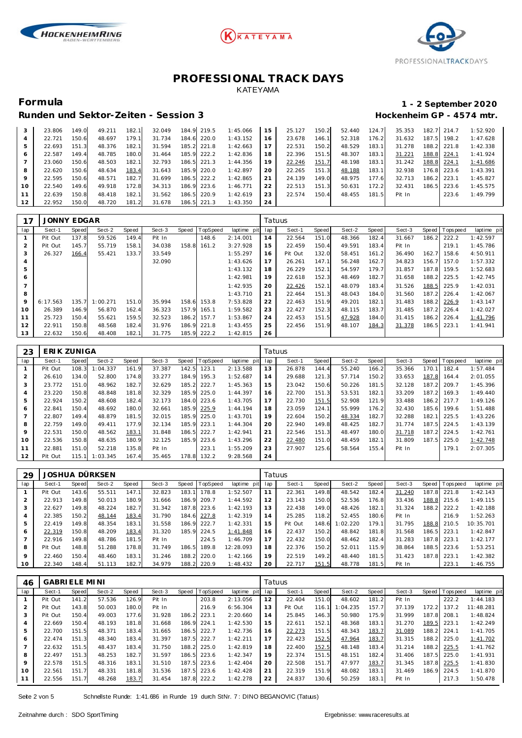





### Runden und Sektor-Zeiten - Session 3 **Bester auch and Sektor-Zeiten - Session 3 Hockenheim GP** - 4574 mtr.

## **Formula 1 - 2 September 2020**

|    | 23.806 | 149.0 | 49.211 | 182.1 | 32.049 | 184.9 219.5 | 1:45.066 | 15 | 25.127 | 150.2 | 52.440 | 124.7 | 35.353 |       | 182.7 214.7 | 1:52.920 |
|----|--------|-------|--------|-------|--------|-------------|----------|----|--------|-------|--------|-------|--------|-------|-------------|----------|
|    | 22.721 | 150.6 | 48.697 | 179.1 | 31.734 | 184.6 220.0 | 1:43.152 | 16 | 23.678 | 146.1 | 52.318 | 176.2 | 31.632 | 187.5 | 198.2       | 1:47.628 |
|    | 22.693 | 151.3 | 48.376 | 182.1 | 31.594 | 185.2 221.8 | 1:42.663 |    | 22.531 | 150.2 | 48.529 | 183.1 | 31.278 |       | 188.2 221.8 | 1:42.338 |
|    | 22.587 | 149.4 | 48.785 | 180.0 | 31.464 | 185.9 222.2 | 1:42.836 | 18 | 22.396 | 151.5 | 48.307 | 183.1 | 31.221 | 188.8 | 224.1       | 1:41.924 |
|    | 23.060 | 150.6 | 48.503 | 182.1 | 32.793 | 186.5 221.3 | 1:44.356 | 19 | 22.246 | 151.7 | 48.198 | 183.1 | 31.242 | 188.8 | 224.1       | 1:41.686 |
| 8  | 22.620 | 150.6 | 48.634 | 183.4 | 31.643 | 185.9 220.0 | 1:42.897 | 20 | 22.265 | 151.3 | 48.188 | 183.1 | 32.938 |       | 176.8 223.6 | 1:43.391 |
|    | 22.595 | 150.6 | 48.571 | 182.7 | 31.699 | 186.5 222.2 | 1:42.865 | 21 | 24.139 | 149.0 | 48.975 | 177.6 | 32.713 | 186.2 | 223.1       | 1:45.827 |
| 10 | 22.540 | 149.6 | 49.918 | 172.8 | 34.313 | 186.9 223.6 | 1:46.771 | 22 | 22.513 | 151.3 | 50.631 | 172.2 | 32.431 | 186.5 | 223.6       | 1:45.575 |
|    | 22.639 | 150.8 | 48.418 | 182.1 | 31.562 | 186.5 220.9 | 1:42.619 | 23 | 22.574 | 150.4 | 48.455 | 181.5 | Pit In |       | 223.6       | 1:49.799 |
| 12 | 22.952 | 150.0 | 48.720 | 181.2 | 31.678 | 186.5 221.3 | 1:43.350 | 24 |        |       |        |       |        |       |             |          |

| 17  | JONNY EDGAR |       |          |       |        |       |          |             | Tatuus |         |       |        |       |        |       |                   |             |
|-----|-------------|-------|----------|-------|--------|-------|----------|-------------|--------|---------|-------|--------|-------|--------|-------|-------------------|-------------|
| lap | Sect-1      | Speed | Sect-2   | Speed | Sect-3 | Speed | TopSpeed | laptime pit | lap    | Sect-1  | Speed | Sect-2 | Speed | Sect-3 |       | Speed   Tops peed | laptime pit |
|     | Pit Out     | 137.8 | 59.526   | 149.4 | Pit In |       | 148.6    | 2:14.001    | 14     | 22.564  | 151.0 | 48.366 | 182.4 | 31.667 | 186.2 | 222.2             | 1:42.597    |
| 2   | Pit Out     | 145.7 | 55.719   | 158.1 | 34.038 | 158.8 | 161.2    | 3:27.928    | 15     | 22.459  | 150.4 | 49.591 | 183.4 | Pit In |       | 219.1             | 1:45.786    |
| 3   | 26.327      | 166.4 | 55.421   | 133.7 | 33.549 |       |          | 1:55.297    | 16     | Pit Out | 132.0 | 58.451 | 161.2 | 36.490 | 162.7 | 158.6             | 4:50.911    |
| 4   |             |       |          |       | 32.090 |       |          | 1:43.626    | 17     | 26.261  | 147.1 | 56.248 | 162.7 | 34.823 | 156.7 | 157.0             | 1:57.332    |
| 5   |             |       |          |       |        |       |          | 1:43.132    | 18     | 26.229  | 152.1 | 54.597 | 179.7 | 31.857 | 187.8 | 159.5             | 1:52.683    |
| 6   |             |       |          |       |        |       |          | 1:42.981    | 19     | 22.618  | 152.3 | 48.469 | 182.7 | 31.658 | 188.2 | 225.5             | 1:42.745    |
|     |             |       |          |       |        |       |          | 1:42.935    | 20     | 22.426  | 152.1 | 48.079 | 183.4 | 31.526 | 188.5 | 225.9             | 1:42.031    |
| 8   |             |       |          |       |        |       |          | 1:43.710    | 21     | 22.464  | 151.3 | 48.043 | 184.0 | 31.560 | 187.2 | 226.4             | 1:42.067    |
| 9   | 6:17.563    | 135.7 | 1:00.271 | 151.0 | 35.994 | 158.6 | 153.8    | 7:53.828    | 22     | 22.463  | 151.9 | 49.201 | 182.1 | 31.483 | 188.2 | 226.9             | 1:43.147    |
| 10  | 26.389      | 146.9 | 56.870   | 162.4 | 36.323 | 157.9 | 165.1    | 1:59.582    | 23     | 22.427  | 152.3 | 48.115 | 183.7 | 31.485 | 187.2 | 226.4             | 1:42.027    |
| 11  | 25.723      | 150.4 | 55.621   | 159.5 | 32.523 | 186.2 | 157.7    | 1:53.867    | 24     | 22.453  | 151.5 | 47.928 | 184.0 | 31.415 | 186.2 | 226.4             | 1:41.796    |
| 12  | 22.911      | 150.8 | 48.568   | 182.4 | 31.976 | 186.9 | 221.8    | 1:43.455    | 25     | 22.456  | 151.9 | 48.107 | 184.3 | 31.378 | 186.5 | 223.1             | 1:41.941    |
| 13  | 22.632      | 150.6 | 48.408   | 182.1 | 31.775 | 185.9 | 222.2    | 1:42.815    | 26     |         |       |        |       |        |       |                   |             |

| 23  | ERIK ZUNIGA |       |          |       |        |       |          |             | Tatuus |        |       |        |       |        |       |                 |             |
|-----|-------------|-------|----------|-------|--------|-------|----------|-------------|--------|--------|-------|--------|-------|--------|-------|-----------------|-------------|
| lap | Sect-1      | Speed | Sect-2   | Speed | Sect-3 | Speed | TopSpeed | laptime pit | lap    | Sect-1 | Speed | Sect-2 | Speed | Sect-3 |       | Speed Tops peed | laptime pit |
|     | Pit Out     | 108.3 | 1:04.337 | 161.9 | 37.387 | 142.5 | 123.1    | 2:13.588    | 13     | 26.878 | 144.4 | 55.240 | 166.2 | 35.366 | 170.1 | 182.4           | 1:57.484    |
| 2   | 26.610      | 134.0 | 52.800   | 174.8 | 33.277 | 184.9 | 195.3    | 1:52.687    | 14     | 29.688 | 121.3 | 57.714 | 150.2 | 33.653 | 187.8 | 164.4           | 2:01.055    |
| 3   | 23.772      | 151.0 | 48.962   | 182.7 | 32.629 | 185.2 | 222.7    | 1:45.363    | 15     | 23.042 | 150.6 | 50.226 | 181.5 | 32.128 | 187.2 | 209.7           | 1:45.396    |
| 4   | 23.220      | 150.8 | 48.848   | 181.8 | 32.329 | 185.9 | 225.0    | 1:44.397    | 16     | 22.700 | 151.3 | 53.531 | 182.1 | 33.209 | 187.2 | 169.3           | 1:49.440    |
| 5   | 22.924      | 150.2 | 48.608   | 182.4 | 32.173 | 184.0 | 223.6    | 1:43.705    | 17     | 22.730 | 151.5 | 52.908 | 121.9 | 33.488 | 186.2 | 217.7           | 1:49.126    |
| 6   | 22.841      | 150.4 | 48.692   | 180.0 | 32.661 | 185.9 | 225.9    | 1:44.194    | 18     | 23.059 | 124.1 | 55.999 | 176.2 | 32.430 | 185.6 | 199.6           | 1:51.488    |
| 7   | 22.807      | 149.4 | 48.879   | 181.5 | 32.015 | 185.9 | 225.0    | 1:43.701    | 19     | 22.604 | 150.2 | 48.334 | 182.7 | 32.288 | 182.1 | 225.5           | 1:43.226    |
| 8   | 22.759      | 149.0 | 49.411   | 177.9 | 32.134 | 185.9 | 223.1    | 1:44.304    | 20     | 22.940 | 149.8 | 48.425 | 182.7 | 31.774 | 187.5 | 224.5           | 1:43.139    |
| 9   | 22.531      | 150.0 | 48.562   | 183.1 | 31.848 | 186.5 | 222.7    | 1:42.941    | 21     | 22.546 | 151.3 | 48.497 | 180.0 | 31.718 | 187.2 | 224.5           | 1:42.761    |
| 10  | 22.536      | 150.8 | 48.635   | 180.9 | 32.125 | 185.9 | 223.6    | 1:43.296    | 22     | 22.480 | 151.0 | 48.459 | 182.1 | 31.809 | 187.5 | 225.0           | 1:42.748    |
| 11  | 22.881      | 151.0 | 52.218   | 135.8 | Pit In |       | 223.1    | 1:55.209    | 23     | 27.907 | 125.6 | 58.564 | 155.4 | Pit In |       | 179.1           | 2:07.305    |
| 12  | Pit Out     | 115.1 | 1:03.345 | 167.4 | 35.465 | 178.8 | 132.2    | 9:28.568    | 24     |        |       |        |       |        |       |                 |             |

| 29  |         |       | JOSHUA DÜRKSEN |       |        |       |                |                |     | Tatuus  |       |          |       |        |       |                |             |
|-----|---------|-------|----------------|-------|--------|-------|----------------|----------------|-----|---------|-------|----------|-------|--------|-------|----------------|-------------|
| lap | Sect-1  | Speed | Sect-2         | Speed | Sect-3 |       | Speed TopSpeed | laptime<br>pit | lap | Sect-1  | Speed | Sect-2   | Speed | Sect-3 |       | Speed Topspeed | laptime pit |
|     | Pit Out | 143.6 | 55.511         | 147.1 | 32.823 | 183.1 | 178.8          | 1:52.507       | 11  | 22.361  | 149.8 | 48.542   | 182.4 | 31.240 | 187.8 | 221.8          | 1:42.143    |
| 2   | 22.913  | 149.8 | 50.013         | 180.9 | 31.666 | 186.9 | 209.7          | 1:44.592       | 12  | 23.143  | 150.0 | 52.536   | 176.8 | 33.436 | 188.8 | 215.6          | 1:49.115    |
| 3   | 22.627  | 149.8 | 48.224         | 182.7 | 31.342 | 187.8 | 223.6          | 1:42.193       | 13  | 22.438  | 149.0 | 48.426   | 182.1 | 31.324 | 188.2 | 222.2          | 1:42.188    |
| 4   | 22.385  | 150.2 | 48.144         | 183.4 | 31.790 | 184.6 | 227.8          | 1:42.319       | 14  | 25.285  | 118.2 | 52.455   | 180.6 | Pit In |       | 216.9          | 1:52.263    |
| 5   | 22.419  | 149.8 | 48.354         | 183.1 | 31.558 | 186.9 | 222.7          | 1:42.331       | 15  | Pit Out | 148.6 | 1:02.220 | 179.1 | 31.795 | 188.8 | 210.5          | 10:35.701   |
| 6   | 22.319  | 150.8 | 48.209         | 183.4 | 31.320 | 185.9 | 224.5          | 1:41.848       | 16  | 22.437  | 150.2 | 48.842   | 181.8 | 31.568 | 186.5 | 223.1          | 1:42.847    |
|     | 22.916  | 149.8 | 48.786         | 181.5 | Pit In |       | 224.5          | 1:46.709       | 17  | 22.432  | 150.0 | 48.462   | 182.4 | 31.283 | 187.8 | - 223.1        | 1:42.177    |
| 8   | Pit Out | 148.8 | 51.288         | 178.8 | 31.749 | 186.5 | 189.8          | 12:28.093      | 18  | 22.376  | 150.2 | 52.011   | 115.9 | 38.864 | 188.5 | 223.6          | 1:53.251    |
| 9   | 22.460  | 150.4 | 48.460         | 183.1 | 31.246 | 188.2 | 220.0          | 1:42.166       | 19  | 22.519  | 149.2 | 48.440   | 181.5 | 31.423 | 187.8 | 223.1          | 1:42.382    |
| 10  | 22.340  | 148.4 | 51.113         | 182.7 | 34.979 | 188.2 | 220.9          | 1:48.432       | 20  | 22.717  | 151.5 | 48.778   | 181.5 | Pit In |       | 223.1          | 1:46.755    |

| 46             |         | <b>GABRIELE MINI</b> |        |       |        |       |                 |             | Tatuus |         |       |          |       |        |       |                 |             |
|----------------|---------|----------------------|--------|-------|--------|-------|-----------------|-------------|--------|---------|-------|----------|-------|--------|-------|-----------------|-------------|
| lap            | Sect-1  | Speed                | Sect-2 | Speed | Sect-3 | Speed | <b>TopSpeed</b> | laptime pit | lap    | Sect-1  | Speed | Sect-2   | Speed | Sect-3 | Speed | <b>Topspeed</b> | laptime pit |
|                | Pit Out | 141.2                | 57.536 | 126.9 | Pit In |       | 203.8           | 2:13.056    | 12     | 22.404  | 151.0 | 48.602   | 181.2 | Pit In |       | 222.2           | 1:44.183    |
| $\overline{2}$ | Pit Out | 143.8                | 50.003 | 180.0 | Pit In |       | 216.9           | 6:56.304    | 13     | Pit Out | 116.1 | 1:04.235 | 157.7 | 37.139 | 172.2 | 137.2           | 11:48.281   |
| 3              | Pit Out | 150.4                | 49.003 | 177.6 | 31.928 | 186.2 | 223.1           | 2:20.660    | 14     | 25.845  | 146.3 | 50.980   | 175.9 | 31.999 | 187.8 | 208.1           | 1:48.824    |
| 4              | 22.669  | 150.4                | 48.193 | 181.8 | 31.668 | 186.9 | 224.1           | 1:42.530    | 15     | 22.611  | 152.1 | 48.368   | 183.1 | 31.270 | 189.5 | 223.1           | 1:42.249    |
| 5              | 22.700  | 151.5                | 48.371 | 183.4 | 31.665 | 186.5 | 222.7           | 1:42.736    | 16     | 22.273  | 151.5 | 48.343   | 183.7 | 31.089 | 188.2 | 224.1           | 1:41.705    |
| 6              | 22.474  | 151.3                | 48.340 | 183.4 | 31.397 | 187.5 | 222.7           | 1:42.211    | 17     | 22.423  | 152.5 | 47.964   | 183.7 | 31.315 | 188.2 | 225.0           | 1:41.702    |
|                | 22.632  | 151.5                | 48.437 | 183.4 | 31.750 | 188.2 | 225.0           | 1:42.819    | 18     | 22.400  | 152.5 | 48.148   | 183.4 | 31.214 | 188.2 | 225.5           | 1:41.762    |
| 8              | 22.497  | 151.3                | 48.253 | 182.7 | 31.597 | 186.5 | 223.6           | 1:42.347    | 19     | 22.374  | 151.5 | 48.151   | 182.4 | 31.406 | 187.5 | 225.0           | 1:41.931    |
| 9              | 22.578  | 151.5                | 48.316 | 183.1 | 31.510 | 187.5 | 223.6           | 1:42.404    | 20     | 22.508  | 151.7 | 47.977   | 183.7 | 31.345 | 187.8 | 225.5           | 1:41.830    |
| 10             | 22.561  | 151.7                | 48.331 | 181.8 | 31.536 | 187.5 | 223.6           | 1:42.428    | 21     | 22.319  | 151.9 | 48.082   | 183.1 | 31.469 | 186.9 | 224.5           | 1:41.870    |
| 11             | 22.556  | 151.7                | 48.268 | 183.7 | 31.454 | 187.8 | 222.2           | 1:42.278    | 22     | 24.837  | 130.6 | 50.259   | 183.1 | Pit In |       | 217.3           | 1:50.478    |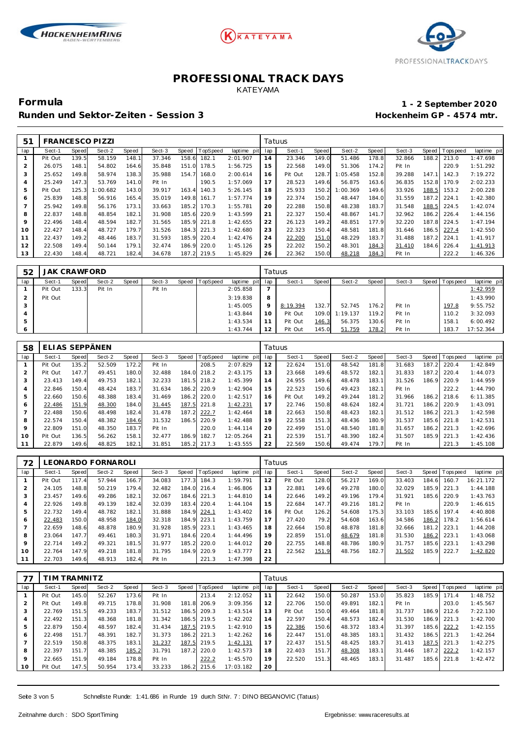





**Formula 1 - 2 September 2020**

### Runden und Sektor-Zeiten - Session 3 **Bester auch and Sektor-Zeiten - Session 3 Hockenheim GP** - 4574 mtr.

| 51  |         |       | <b>FRANCESCO PIZZI</b> |       |        |       |          |                 | Tatuus |         |       |          |       |        |       |                |             |
|-----|---------|-------|------------------------|-------|--------|-------|----------|-----------------|--------|---------|-------|----------|-------|--------|-------|----------------|-------------|
| lap | Sect-1  | Speed | Sect-2                 | Speed | Sect-3 | Speed | TopSpeed | laptime pit lap |        | Sect-1  | Speed | Sect-2   | Speed | Sect-3 |       | Speed Topspeed | laptime pit |
|     | Pit Out | 139.5 | 58.159                 | 148.1 | 37.346 | 158.6 | 182.1    | 2:01.907        | 14     | 23.346  | 149.0 | 51.486   | 178.8 | 32.866 | 188.2 | 213.0          | 1:47.698    |
| 2   | 26.075  | 148.1 | 54.802                 | 164.6 | 35.848 | 151.0 | 178.5    | 1:56.725        | 15     | 22.568  | 149.0 | 51.306   | 174.2 | Pit In |       | 220.9          | 1:51.292    |
| 3   | 25.652  | 149.8 | 58.974                 | 138.3 | 35.988 | 154.7 | 168.0    | 2:00.614        | 16     | Pit Out | 128.7 | 1:05.458 | 152.8 | 39.288 | 147.1 | 142.3          | 7:19.272    |
| 4   | 25.249  | 147.3 | 53.769                 | 141.0 | Pit In |       | 190.5    | 1:57.069        | 17     | 28.523  | 149.6 | 56.875   | 163.6 | 36.835 | 152.8 | 170.9          | 2:02.233    |
| 5   | Pit Out | 125.3 | 1:00.682               | 143.0 | 39.917 | 163.4 | 140.3    | 5:26.145        | 18     | 25.933  | 150.2 | 1:00.369 | 149.6 | 33.926 | 188.5 | 153.2          | 2:00.228    |
| 6   | 25.839  | 148.8 | 56.916                 | 165.4 | 35.019 | 149.8 | 161.7    | 1:57.774        | 19     | 22.374  | 150.2 | 48.447   | 184.0 | 31.559 | 187.2 | 224.1          | 1:42.380    |
|     | 25.942  | 149.8 | 56.176                 | 173.1 | 33.663 | 185.2 | 170.3    | 1:55.781        | 20     | 22.288  | 150.8 | 48.238   | 183.7 | 31.548 | 188.5 | 224.5          | 1:42.074    |
| 8   | 22.837  | 148.8 | 48.854                 | 182.1 | 31.908 | 185.6 | 220.9    | 1:43.599        | 21     | 22.327  | 150.4 | 48.867   | 141.7 | 32.962 |       | 186.2 226.4    | 1:44.156    |
| 9   | 22.496  | 148.4 | 48.594                 | 182.7 | 31.565 | 185.9 | 221.8    | 1:42.655        | 22     | 26.123  | 149.2 | 48.851   | 177.9 | 32.220 | 187.8 | 224.5          | 1:47.194    |
| 10  | 22.427  | 148.4 | 48.727                 | 179.7 | 31.526 | 184.3 | 221.3    | 1:42.680        | 23     | 22.323  | 150.4 | 48.581   | 181.8 | 31.646 | 186.5 | 227.4          | 1:42.550    |
| 11  | 22.437  | 149.2 | 48.446                 | 183.7 | 31.593 | 185.9 | 220.4    | 1:42.476        | 24     | 22.200  | 151.0 | 48.229   | 183.7 | 31.488 | 187.2 | 224.1          | 1:41.917    |
| 12  | 22.508  | 149.4 | 50.144                 | 179.1 | 32.474 | 186.9 | 220.0    | 1:45.126        | 25     | 22.202  | 150.2 | 48.301   | 184.3 | 31.410 | 184.6 | 226.4          | 1:41.913    |
| 13  | 22.430  | 148.4 | 48.721                 | 182.4 | 34.678 | 187.2 | 219.5    | 1:45.829        | 26     | 22.362  | 150.0 | 48.218   | 184.3 | Pit In |       | 222.2          | 1:46.326    |

| 52      | <b>JAK CRAWFORD</b> |       |        |       |        |       |          |             |     | Tatuus   |       |          |       |        |       |             |             |
|---------|---------------------|-------|--------|-------|--------|-------|----------|-------------|-----|----------|-------|----------|-------|--------|-------|-------------|-------------|
| lap     | Sect-1              | Speed | Sect-2 | Speed | Sect-3 | Speed | TopSpeed | laptime pit | lap | Sect-1   | Speed | Sect-2   | Speed | Sect-3 | Speed | T ops pee d | laptime pit |
|         | Pit Out             | 133.3 | Pit In |       | Pit In |       |          | 2:05.858    |     |          |       |          |       |        |       |             | 1:42.959    |
|         | Pit Out             |       |        |       |        |       |          | 3:19.838    | 8   |          |       |          |       |        |       |             | 1:43.990    |
|         |                     |       |        |       |        |       |          | 1:45.005    | Q   | 8:19.394 | 132.7 | 52.745   | 176.2 | Pit In |       | 197.8       | 9:55.752    |
|         |                     |       |        |       |        |       |          | 1:43.844    | 10  | Pit Out  | 109.0 | 1:19.137 | 119.2 | Pit In |       | 110.2       | 3:32.093    |
| 5       |                     |       |        |       |        |       |          | 1:43.534    |     | Pit Out  | 146.3 | 56.375   | 130.6 | Pit In |       | 158.1       | 6:00.492    |
| $\circ$ |                     |       |        |       |        |       |          | 1:43.744    | 12  | Pit Out  | 145.0 | 51.759   | 178.2 | Pit In |       | 183.7       | 17:52.364   |

| 58      | ELIAS SEPPÄNEN |       |        |       |        |            |                 |                | Tatuus |         |       |        |       |        |       |           |             |
|---------|----------------|-------|--------|-------|--------|------------|-----------------|----------------|--------|---------|-------|--------|-------|--------|-------|-----------|-------------|
| lap     | Sect-1         | Speed | Sect-2 | Speed | Sect-3 | Speed      | <b>TopSpeed</b> | laptime<br>pit | lap    | Sect-1  | Speed | Sect-2 | Speed | Sect-3 | Speed | Tops peed | laptime pit |
|         | Pit Out        | 135.2 | 52.509 | 172.2 | Pit In |            | 208.5           | 2:07.829       | 12     | 22.624  | 151.0 | 48.542 | 181.8 | 31.683 | 187.2 | 220.4     | 1:42.849    |
|         | Pit Out        | 147.7 | 49.451 | 180.0 | 32.488 | 184.0      | 218.2           | 2:43.175       | 13     | 23.668  | 149.6 | 48.572 | 182.1 | 31.833 | 187.2 | 220.4     | 1:44.073    |
| 3       | 23.413         | 149.4 | 49.753 | 182.1 | 32.233 | 181<br>. 5 | 218.2           | 1:45.399       | 14     | 24.955  | 149.6 | 48.478 | 183.1 | 31.526 | 186.9 | 220.9     | 1:44.959    |
| 4       | 22.846         | 150.4 | 48.424 | 183.7 | 31.634 | 186.2      | 220.9           | 1:42.904       | 15     | 22.523  | 150.6 | 49.423 | 182.1 | Pit In |       | 222.2     | 1:44.790    |
| 5       | 22.660         | 150.6 | 48.388 | 183.4 | 31.469 | 186.2      | 220.0           | 1:42.517       | 16     | Pit Out | 149.2 | 49.244 | 181.2 | 31.966 | 186.2 | 218.6     | 6:11.385    |
| 6       | 22.486         | 151.9 | 48.300 | 184.0 | 31.445 | 187.5      | 221.8           | 1:42.231       | 17     | 22.746  | 150.8 | 48.624 | 182.4 | 31.721 | 186.2 | 220.9     | 1:43.091    |
|         | 22.488         | 150.6 | 48.498 | 182.4 | 31.478 | 187.2      | 222.7           | 1:42.464       | 18     | 22.663  | 150.8 | 48.423 | 182.1 | 31.512 | 186.2 | 221.3     | 1:42.598    |
| 8       | 22.574         | 150.4 | 48.382 | 184.6 | 31.532 | 186.5      | 220.9           | 1:42.488       | 19     | 22.558  | 151.3 | 48.436 | 180.9 | 31.537 | 185.6 | 221.8     | 1:42.531    |
| $\circ$ | 22.809         | 151.0 | 48.350 | 183.7 | Pit In |            | 220.0           | 1:44.114       | 20     | 22.499  | 151.0 | 48.540 | 181.8 | 31.657 | 186.2 | 221.3     | 1:42.696    |
| 10      | Pit Out        | 136.5 | 56.262 | 158.1 | 32.477 | 186.9      | 182.7           | 12:05.264      | 21     | 22.539  | 151.7 | 48.390 | 182.4 | 31.507 | 185.9 | 221.3     | 1:42.436    |
|         | 22.879         | 149.6 | 48.825 | 182.1 | 31.851 | 185.2      | 217.3           | 1:43.555       | 22     | 22.569  | 150.6 | 49.474 | 179.7 | Pit In |       | 221.3     | 1:45.108    |

| 72             | EONARDO FORNAROLI |       |        |       |        |       |                 |             | Tatuus |         |       |        |       |        |       |                 |             |
|----------------|-------------------|-------|--------|-------|--------|-------|-----------------|-------------|--------|---------|-------|--------|-------|--------|-------|-----------------|-------------|
| lap            | Sect-1            | Speed | Sect-2 | Speed | Sect-3 | Speed | <b>TopSpeed</b> | laptime pit | lap    | Sect-1  | Speed | Sect-2 | Speed | Sect-3 |       | Speed Tops peed | laptime pit |
|                | Pit Out           | 117.4 | 57.944 | 166.7 | 34.083 | 177.3 | 184.3           | 1:59.791    | 12     | Pit Out | 128.0 | 56.217 | 169.0 | 33.403 | 184.6 | 160.7           | 16:21.172   |
| $\overline{2}$ | 24.105            | 148.8 | 50.219 | 179.4 | 32.482 | 184.0 | 216.4           | 1:46.806    | 13     | 22.881  | 149.6 | 49.278 | 180.0 | 32.029 | 185.9 | 221.3           | 1:44.188    |
| 3              | 23.457            | 149.6 | 49.286 | 182.1 | 32.067 | 184.6 | 221.3           | 1:44.810    | 14     | 22.646  | 149.2 | 49.196 | 179.4 | 31.921 | 185.6 | 220.9           | 1:43.763    |
| 4              | 22.926            | 149.8 | 49.139 | 182.4 | 32.039 | 183.4 | 220.4           | 1:44.104    | 15     | 22.684  | 147.7 | 49.216 | 181.2 | Pit In |       | 220.9           | 1:46.615    |
| 5              | 22.732            | 149.4 | 48.782 | 182.1 | 31.888 | 184.9 | 224.1           | 1:43.402    | 16     | Pit Out | 126.2 | 54.608 | 175.3 | 33.103 | 185.6 | 197.4           | 4:40.808    |
| 6              | 22.483            | 150.0 | 48.958 | 184.0 | 32.318 | 184.9 | 223.1           | 1:43.759    | 17     | 27.420  | 79.2  | 54.608 | 163.6 | 34.586 | 186.2 | 178.2           | 1:56.614    |
|                | 22.659            | 148.6 | 48.878 | 180.9 | 31.928 | 185.9 | 223.1           | 1:43.465    | 18     | 22.664  | 150.8 | 48.878 | 181.8 | 32.666 | 181.2 | 223.1           | 1:44.208    |
| 8              | 23.064            | 147.7 | 49.461 | 180.3 | 31.971 | 184.6 | 220.4           | 1:44.496    | 19     | 22.859  | 151.0 | 48.679 | 181.8 | 31.530 | 186.2 | 223.1           | 1:43.068    |
| 9              | 22.714            | 149.2 | 49.321 | 181.5 | 31.977 | 185.2 | 220.0           | 1:44.012    | 20     | 22.755  | 148.8 | 48.786 | 180.9 | 31.757 | 185.6 | 223.1           | 1:43.298    |
| 10             | 22.764            | 147.9 | 49.218 | 181.8 | 31.795 | 184.9 | 220.9           | 1:43.777    | 21     | 22.562  | 151.9 | 48.756 | 182.7 | 31.502 | 185.9 | 222.7           | 1:42.820    |
| 11             | 22.703            | 149.6 | 48.913 | 182.4 | Pit In |       | 221.3           | 1:47.398    | 22     |         |       |        |       |        |       |                 |             |

|                | IIM TRAMNITZ |       |        |       |        |           |                |             |     | Tatuus  |       |        |       |        |       |                  |             |  |  |
|----------------|--------------|-------|--------|-------|--------|-----------|----------------|-------------|-----|---------|-------|--------|-------|--------|-------|------------------|-------------|--|--|
| lap            | Sect-1       | Speed | Sect-2 | Speed | Sect-3 |           | Speed TopSpeed | laptime pit | lap | Sect-1  | Speed | Sect-2 | Speed | Sect-3 |       | Speed   Topspeed | laptime pit |  |  |
|                | Pit Out      | 145.0 | 52.267 | 173.6 | Pit In |           | 213.4          | 2:12.052    | 11  | 22.642  | 150.0 | 50.287 | 153.0 | 35.823 | 185.9 | 171.4            | 1:48.752    |  |  |
| 2              | Pit Out      | 149.8 | 49.715 | 178.8 | 31.908 | 181<br>.8 | 206.9          | 3:09.356    | 12  | 22.706  | 150.0 | 49.891 | 182.1 | Pit In |       | 203.0            | 1:45.567    |  |  |
| 3              | 22.769       | 151.5 | 49.233 | 183.7 | 31.512 | 186.5     | 209.3          | 1:43.514    | 13  | Pit Out | 150.0 | 49.464 | 181.8 | 31.737 | 186.9 | 212.6            | 7:22.130    |  |  |
| $\overline{4}$ | 22.492       | 151.3 | 48.368 | 181.8 | 31.342 | 186.5     | 219.5          | 1:42.202    | 14  | 22.597  | 150.4 | 48.573 | 182.4 | 31.530 | 186.9 | 221.3            | 1:42.700    |  |  |
| 5              | 22.879       | 150.4 | 48.597 | 182.4 | 31.434 | 187.5     | 219.5          | 1:42.910    | 15  | 22.386  | 150.6 | 48.372 | 183.4 | 31.397 | 185.6 | 222.2            | 1:42.155    |  |  |
| 6              | 22.498       | 151.7 | 48.391 | 182.7 | 31.373 | 186.2     | 221.3          | 1:42.262    | 16  | 22.447  | 151.0 | 48.385 | 183.1 | 31.432 | 186.5 | 221.3            | 1:42.264    |  |  |
| 7              | 22.519       | 150.8 | 48.375 | 183.1 | 31.237 | 187.5     | 219.5          | 1:42.131    | 17  | 22.437  | 151.5 | 48.425 | 183.7 | 31.413 | 187.5 | 221.3            | 1:42.275    |  |  |
| 8              | 22.397       | 151.7 | 48.385 | 185.2 | 31.791 | 187.2     | 220.0          | 1:42.573    | 18  | 22.403  | 151.7 | 48.308 | 183.1 | 31.446 | 187.2 | 222.2            | 1:42.157    |  |  |
| 9              | 22.665       | 151.9 | 49.184 | 178.8 | Pit In |           | 222.2          | 1:45.570    | 19  | 22.520  | 151.3 | 48.465 | 183.  | 31.487 | 185.6 | 221.8            | 1:42.472    |  |  |
| 10             | Pit Out      | 147.5 | 50.954 | 173.4 | 33.233 | 186.2     | 215.6          | 17:03.182   | 20  |         |       |        |       |        |       |                  |             |  |  |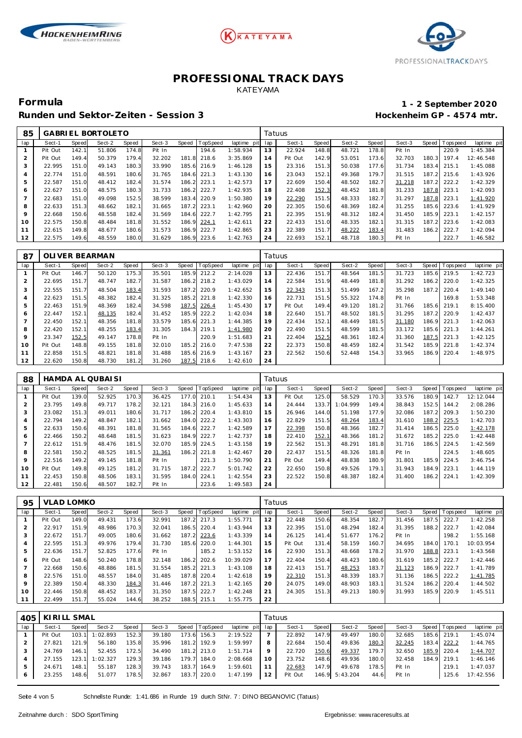





Runden und Sektor-Zeiten - Session 3 **Bester auch and Sektor-Zeiten - Session 3 Hockenheim GP** - 4574 mtr.

# **Formula 1 - 2 September 2020**

| 85             | <b>BORTOLETO</b><br><b>GABRIEL</b> |       |        |       |        |           |                 |             | Tatuus |         |       |        |       |        |       |                 |             |
|----------------|------------------------------------|-------|--------|-------|--------|-----------|-----------------|-------------|--------|---------|-------|--------|-------|--------|-------|-----------------|-------------|
| lap            | Sect-1                             | Speed | Sect-2 | Speed | Sect-3 | Speed     | <b>TopSpeed</b> | laptime pit | lap    | Sect-1  | Speed | Sect-2 | Speed | Sect-3 |       | Speed Tops peed | laptime pit |
|                | Pit Out                            | 142.  | 51.806 | 174.8 | Pit In |           | 194.6           | 1:58.934    | 13     | 22.924  | 148.8 | 48.721 | 178.8 | Pit In |       | 220.9           | 1:45.384    |
| 2              | Pit Out                            | 149.4 | 50.379 | 179.4 | 32.202 | 181<br>.8 | 218.6           | 3:35.869    | 14     | Pit Out | 142.9 | 53.051 | 173.6 | 32.703 | 180.3 | 197.4           | 12:46.548   |
| 3              | 22.995                             | 151.0 | 49.143 | 180.3 | 33.990 | 185.6     | 216.9           | 1:46.128    | 15     | 23.316  | 151.3 | 50.038 | 177.6 | 31.734 | 183.4 | 215.1           | 1:45.088    |
| 4              | 22.774                             | 151.0 | 48.591 | 180.6 | 31.765 | 184.6     | 221.3           | 1:43.130    | 16     | 23.043  | 152.1 | 49.368 | 179.7 | 31.515 | 187.2 | 215.6           | 1:43.926    |
| 5              | 22.587                             | 151.0 | 48.412 | 182.4 | 31.574 | 186.2     | 223.1           | 1:42.573    | 17     | 22.609  | 150.4 | 48.502 | 182.7 | 31.218 | 187.2 | 222.2           | 1:42.329    |
| 6              | 22.627                             | 151.0 | 48.575 | 180.3 | 31.733 | 186.2     | 222.7           | 1:42.935    | 18     | 22.408  | 152.3 | 48.452 | 181.8 | 31.233 | 187.8 | 223.1           | 1:42.093    |
| $\overline{7}$ | 22.683                             | 151.0 | 49.098 | 152.5 | 38.599 | 183.4     | 220.9           | 1:50.380    | 19     | 22.290  | 151.5 | 48.333 | 182.7 | 31.297 | 187.8 | 223.1           | 1:41.920    |
| 8              | 22.633                             | 151.3 | 48.662 | 182.1 | 31.665 | 187.2     | 223.1           | 1:42.960    | 20     | 22.305  | 150.6 | 48.369 | 182.4 | 31.255 | 185.6 | 223.6           | 1:41.929    |
| 9              | 22.668                             | 150.6 | 48.558 | 182.4 | 31.569 | 184.6     | 222.7           | 1:42.795    | 21     | 22.395  | 151.9 | 48.312 | 182.4 | 31.450 | 185.9 | 223.1           | 1:42.157    |
| 10             | 22.575                             | 150.8 | 48.484 | 181.8 | 31.552 | 186.9     | 224.1           | 1:42.611    | 22     | 22.433  | 151.0 | 48.335 | 182.1 | 31.315 | 187.2 | 223.6           | 1:42.083    |
| 11             | 22.615                             | 149.8 | 48.677 | 180.6 | 31.573 | 186.9     | 222.7           | 1:42.865    | 23     | 22.389  | 151.7 | 48.222 | 183.4 | 31.483 | 186.2 | 222.7           | 1:42.094    |
| 12             | 22.575                             | 149.6 | 48.559 | 180.0 | 31.629 | 186.9     | 223.6           | 1:42.763    | 24     | 22.693  | 152.1 | 48.718 | 180.3 | Pit In |       | 222.7           | 1:46.582    |

| 87  | OLI VER BEARMAN |       |        |       |        |       |                 |             | Tatuus |         |       |        |       |        |       |                 |             |  |
|-----|-----------------|-------|--------|-------|--------|-------|-----------------|-------------|--------|---------|-------|--------|-------|--------|-------|-----------------|-------------|--|
| lap | Sect-1          | Speed | Sect-2 | Speed | Sect-3 | Speed | <b>TopSpeed</b> | laptime pit | lap    | Sect-1  | Speed | Sect-2 | Speed | Sect-3 |       | Speed Tops peed | laptime pit |  |
|     | Pit Out         | 146.7 | 50.120 | 175.3 | 35.501 | 185.9 | 212.2           | 2:14.028    | 13     | 22.436  | 151.7 | 48.564 | 181.5 | 31.723 | 185.6 | 219.5           | 1:42.723    |  |
|     | 22.695          | 151.7 | 48.747 | 182.7 | 31.587 | 186.2 | 218.2           | 1:43.029    | 14     | 22.584  | 151.9 | 48.449 | 181.8 | 31.292 | 186.2 | 220.0           | 1:42.325    |  |
| 3   | 22.555          | 151.7 | 48.504 | 183.4 | 31.593 | 187.2 | 220.9           | 1:42.652    | 15     | 22.343  | 151.3 | 51.499 | 167.2 | 35.298 | 187.2 | 220.4           | 1:49.140    |  |
| 4   | 22.623          | 151.5 | 48.382 | 182.4 | 31.325 | 185.2 | 221.8           | 1:42.330    | 16     | 22.731  | 151.5 | 55.322 | 174.8 | Pit In |       | 169.8           | 1:53.348    |  |
| 5   | 22.463          | 151.9 | 48.369 | 182.4 | 34.598 | 187.5 | 226.4           | 1:45.430    | 17     | Pit Out | 149.4 | 49.120 | 181.2 | 31.766 | 185.6 | 219.1           | 8:15.400    |  |
| 6   | 22.447          | 152.1 | 48.135 | 182.4 | 31.452 | 185.9 | 222.2           | 1:42.034    | 18     | 22.640  | 151.7 | 48.502 | 181.5 | 31.295 | 187.2 | 220.9           | 1:42.437    |  |
|     | 22.450          | 152.1 | 48.356 | 181.8 | 33.579 | 185.6 | 221.3           | 1:44.385    | 19     | 22.434  | 152.1 | 48.449 | 181.5 | 31.180 | 186.9 | 221.3           | 1:42.063    |  |
| 8   | 22.420          | 152.1 | 48.255 | 183.4 | 31.305 | 184.3 | 219.1           | 1:41.980    | 20     | 22.490  | 151.5 | 48.599 | 181.5 | 33.172 | 185.6 | 221.3           | 1:44.261    |  |
| 9   | 23.347          | 152.5 | 49.147 | 178.8 | Pit In |       | 220.9           | 1:51.683    | 21     | 22.404  | 152.5 | 48.361 | 182.4 | 31.360 | 187.5 | 221.3           | 1:42.125    |  |
| 10  | Pit Out         | 148.8 | 49.155 | 181.8 | 32.010 | 185.2 | 216.0           | 7:47.538    | 22     | 22.373  | 150.8 | 48.459 | 182.4 | 31.542 | 185.9 | 221.8           | 1:42.374    |  |
| 11  | 22.858          | 151.5 | 48.821 | 181.8 | 31.488 | 185.6 | 216.9           | 1:43.167    | 23     | 22.562  | 150.6 | 52.448 | 154.3 | 33.965 | 186.9 | 220.4           | 1:48.975    |  |
| 12  | 22.620          | 150.8 | 48.730 | 181.2 | 31.260 | 187.5 | 218.6           | 1:42.610    | 24     |         |       |        |       |        |       |                 |             |  |

| 88  | HAMDA AL QUBAI SI |       |        |       |        |       |          |             | Tatuus |         |       |          |       |        |       |                   |             |
|-----|-------------------|-------|--------|-------|--------|-------|----------|-------------|--------|---------|-------|----------|-------|--------|-------|-------------------|-------------|
| lap | Sect-1            | Speed | Sect-2 | Speed | Sect-3 | Speed | TopSpeed | laptime pit | lap    | Sect-1  | Speed | Sect-2   | Speed | Sect-3 |       | Speed   Tops peed | laptime pit |
|     | Pit Out           | 139.0 | 52.925 | 170.3 | 36.425 | 177.0 | 210.1    | 1:54.434    | 13     | Pit Out | 125.0 | 58.529   | 170.3 | 33.576 | 180.9 | 142.7             | 12:12.044   |
| 2   | 23.795            | 149.8 | 49.717 | 178.2 | 32.121 | 184.3 | 216.0    | 1:45.633    | 14     | 24.444  | 133.7 | 1:04.999 | 149.4 | 38.843 | 152.5 | 144.2             | 2:08.286    |
| 3   | 23.082            | 151.3 | 49.011 | 180.6 | 31.717 | 186.2 | 220.4    | 1:43.810    | 15     | 26.946  | 144.0 | 51.198   | 177.9 | 32.086 | 187.2 | 209.3             | 1:50.230    |
| 4   | 22.794            | 149.2 | 48.847 | 182.1 | 31.662 | 184.0 | 222.2    | 1:43.303    | 16     | 22.829  | 151.5 | 48.264   | 183.4 | 31.610 | 188.2 | 225.5             | 1:42.703    |
| 5   | 22.633            | 150.6 | 48.391 | 181.8 | 31.565 | 184.6 | 222.7    | 1:42.589    | 17     | 22.398  | 150.8 | 48.366   | 182.7 | 31.414 | 186.5 | 225.0             | 1:42.178    |
| 6   | 22.466            | 150.2 | 48.648 | 181.5 | 31.623 | 184.9 | 222.7    | 1:42.737    | 18     | 22.410  | 152.1 | 48.366   | 181.2 | 31.672 |       | 185.2 225.0       | 1:42.448    |
| 7   | 22.612            | 151.9 | 48.476 | 181.5 | 32.070 | 185.9 | 224.5    | 1:43.158    | 19     | 22.562  | 151.3 | 48.291   | 181.8 | 31.716 | 186.5 | 224.5             | 1:42.569    |
| 8   | 22.581            | 150.2 | 48.525 | 181.5 | 31.361 | 186.2 | 221.8    | 1:42.467    | 20     | 22.437  | 151.5 | 48.326   | 181.8 | Pit In |       | 224.5             | 1:48.605    |
| 9   | 22.516            | 149.2 | 49.145 | 181.8 | Pit In |       | 221.3    | 1:50.790    | 21     | Pit Out | 149.4 | 48.838   | 180.9 | 31.801 | 185.9 | 224.5             | 3:46.754    |
| 10  | Pit Out           | 149.8 | 49.125 | 181.2 | 31.715 | 187.2 | 222.7    | 5:01.742    | 22     | 22.650  | 150.8 | 49.526   | 179.1 | 31.943 | 184.9 | 223.1             | 1:44.119    |
| 11  | 22.453            | 150.8 | 48.506 | 183.1 | 31.595 | 184.0 | 224.1    | 1:42.554    | 23     | 22.522  | 150.8 | 48.387   | 182.4 | 31.400 |       | 186.2 224.1       | 1:42.309    |
| 12  | 22.481            | 150.6 | 48.507 | 182.7 | Pit In |       | 223.6    | 1:49.583    | 24     |         |       |          |       |        |       |                   |             |

| 95  | <b>VLAD LOMKO</b> |       |        |       |        |       |             |             | Tatuus |         |       |        |       |        |       |                |             |
|-----|-------------------|-------|--------|-------|--------|-------|-------------|-------------|--------|---------|-------|--------|-------|--------|-------|----------------|-------------|
| lap | Sect-1            | Speed | Sect-2 | Speed | Sect-3 | Speed | TopSpeed    | laptime pit | lap    | Sect-1  | Speed | Sect-2 | Speed | Sect-3 |       | Speed Topspeed | laptime pit |
|     | Pit Out           | 149.0 | 49.431 | 173.6 | 32.991 | 187.2 | 217.3       | 1:55.771    | 12     | 22.448  | 150.6 | 48.354 | 182.7 | 31.456 | 187.5 | 222.7          | 1:42.258    |
|     | 22.917            | 151.9 | 48.986 | 170.3 | 32.041 | 186.5 | 220.4       | 1:43.944    | 13     | 22.395  | 151.0 | 48.294 | 182.4 | 31.395 | 188.2 | 222.7          | 1:42.084    |
| 3   | 22.672            | 151.7 | 49.005 | 180.6 | 31.662 | 187.2 | 223.6       | 1:43.339    | 14     | 26.125  | 141.4 | 51.677 | 176.2 | Pit In |       | 198.2          | 1:55.168    |
| 4   | 22.595            | 151.3 | 49.976 | 179.4 | 31.730 | 185.6 | 220.0       | 1:44.301    | 15     | Pit Out | 131.4 | 58.159 | 160.7 | 34.695 | 184.0 | 170.1          | 10:03.954   |
| 5   | 22.636            | 151.7 | 52.825 | 177.6 | Pit In |       | 185.2       | 1:53.152    | 16     | 22.930  | 151.3 | 48.668 | 178.2 | 31.970 | 188.8 | 223.1          | 1:43.568    |
| 6   | Pit Out           | 148.6 | 50.240 | 178.8 | 32.148 | 186.2 | 202.6       | 10:39.029   | 17     | 22.404  | 150.4 | 48.423 | 180.6 | 31.619 | 185.2 | 222.7          | 1:42.446    |
|     | 22.668            | 150.6 | 48.886 | 181.5 | 31.554 | 185.2 | 221.3       | 1:43.108    | 18     | 22.413  | 151.7 | 48.253 | 183.7 | 31.123 | 186.9 | 222.7          | 1:41.789    |
| 8   | 22.576            | 151.0 | 48.557 | 184.0 | 31.485 | 187.8 | 220.4       | 1:42.618    | 19     | 22.310  | 151.3 | 48.339 | 183.7 | 31.136 | 186.5 | 222.2          | 1:41.785    |
| 9   | 22.389            | 150.4 | 48.330 | 184.3 | 31.446 | 187.2 | 221.3       | 1:42.165    | 20     | 24.075  | 149.0 | 48.903 | 183.1 | 31.524 | 186.2 | 220.4          | 1:44.502    |
| 10  | 22.446            | 150.8 | 48.452 | 183.7 | 31.350 | 187.5 | 222.7       | 1:42.248    | 21     | 24.305  | 151.3 | 49.213 | 180.9 | 31.993 | 185.9 | 220.9          | 1:45.511    |
| 11  | 22.499            | 151.7 | 55.024 | 144.6 | 38.252 |       | 188.5 215.1 | 1:55.775    | 22     |         |       |        |       |        |       |                |             |

| 405 | KIRILL SMAL |       |          |       |        |       |                |                 | Tatuus |         |       |                |       |        |  |                 |             |  |
|-----|-------------|-------|----------|-------|--------|-------|----------------|-----------------|--------|---------|-------|----------------|-------|--------|--|-----------------|-------------|--|
| lap | Sect-1      | Speed | Sect-2   | Speed | Sect-3 |       | Speed TopSpeed | laptime pit lap |        | Sect-1  | Speed | Sect-2         | Speed | Sect-3 |  | Speed Tops peed | laptime pit |  |
|     | Pit Out     | 103.1 | 1:02.893 | 152.3 | 39.180 | 173.6 | 156.3          | 2:19.522        |        | 22.892  | 147.9 | 49.497         | 180.0 | 32.685 |  | 185.6 219.1     | 1:45.074    |  |
|     | 27.821      | 121.9 | 56.180   | 135.8 | 35.996 |       | 181.2 192.9    | 1:59.997        | 8      | 22.684  | 150.4 | 49.836         | 180.3 | 32.245 |  | 183.4 222.2     | 1:44.765    |  |
|     | 24.769      | 146.1 | 52.455   | 172.5 | 34.490 |       | 181.2 213.0    | 1:51.714        | 9      | 22.720  | 150.6 | 49.337         | 179.7 | 32.650 |  | 185.9 220.4     | 1:44.707    |  |
|     | 27.155      | 123.1 | 1:02.327 | 129.3 | 39.186 | 179.7 | 184.0          | 2:08.668        | 10     | 23.752  | 148.6 | 49.936         | 180.0 | 32.458 |  | 184.9 219.1     | 1:46.146    |  |
|     | 24.671      | 148.1 | 55.187   | 128.3 | 39.743 | 183.7 | 164.9          | 1:59.601        |        | 22.683  | 147.9 | 49.678         | 178.5 | Pit In |  | 219.1           | 1:47.037    |  |
| 6   | 23.255      | 148.6 | 51.077   | 178.5 | 32.867 |       | 183.7 220.0    | 1:47.199        | 12     | Pit Out |       | 146.9 5:43.204 | 44.6  | Pit In |  | 125.6           | 17:42.556   |  |